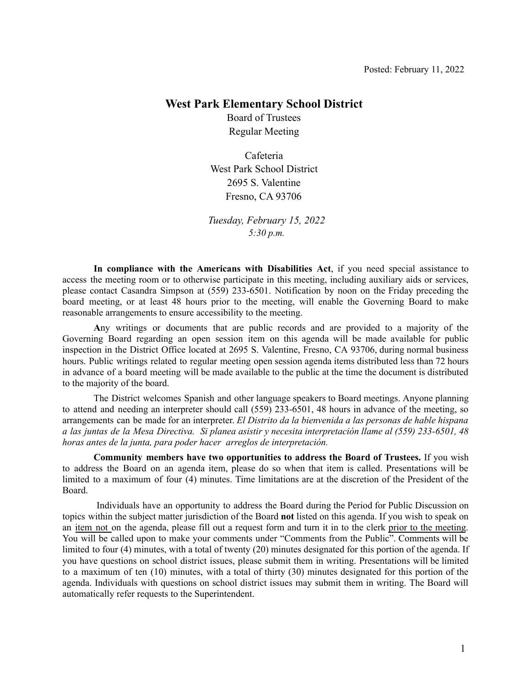#### **West Park Elementary School District**

Board of Trustees Regular Meeting

Cafeteria West Park School District 2695 S. Valentine Fresno, CA 93706

*Tuesday, February 15, 2022 5:30 p.m.*

**In compliance with the Americans with Disabilities Act**, if you need special assistance to access the meeting room or to otherwise participate in this meeting, including auxiliary aids or services, please contact Casandra Simpson at (559) 233-6501. Notification by noon on the Friday preceding the board meeting, or at least 48 hours prior to the meeting, will enable the Governing Board to make reasonable arrangements to ensure accessibility to the meeting.

**A**ny writings or documents that are public records and are provided to a majority of the Governing Board regarding an open session item on this agenda will be made available for public inspection in the District Office located at 2695 S. Valentine, Fresno, CA 93706, during normal business hours. Public writings related to regular meeting open session agenda items distributed less than 72 hours in advance of a board meeting will be made available to the public at the time the document is distributed to the majority of the board.

The District welcomes Spanish and other language speakers to Board meetings. Anyone planning to attend and needing an interpreter should call (559) 233-6501, 48 hours in advance of the meeting, so arrangements can be made for an interpreter. *El Distrito da la bienvenida a las personas de hable hispana* a las juntas de la Mesa Directiva. Si planea asistir y necesita interpretación llame al (559) 233-6501, 48 *horas antes de la junta, para poder hacer arreglos de interpretación.*

**Community members have two opportunities to address the Board of Trustees.** If you wish to address the Board on an agenda item, please do so when that item is called. Presentations will be limited to a maximum of four (4) minutes. Time limitations are at the discretion of the President of the Board.

Individuals have an opportunity to address the Board during the Period for Public Discussion on topics within the subject matter jurisdiction of the Board **not** listed on this agenda. If you wish to speak on an item not on the agenda, please fill out a request form and turn it in to the clerk prior to the meeting. You will be called upon to make your comments under "Comments from the Public". Comments will be limited to four (4) minutes, with a total of twenty (20) minutes designated for this portion of the agenda. If you have questions on school district issues, please submit them in writing. Presentations will be limited to a maximum of ten (10) minutes, with a total of thirty (30) minutes designated for this portion of the agenda. Individuals with questions on school district issues may submit them in writing. The Board will automatically refer requests to the Superintendent.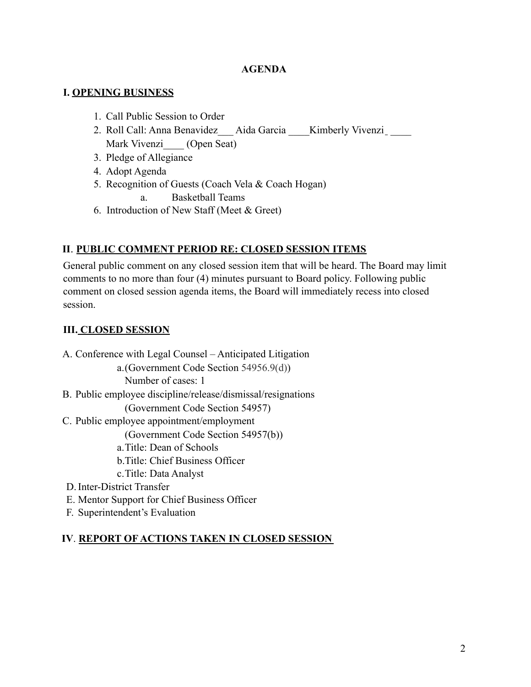#### **AGENDA**

### **I. OPENING BUSINESS**

- 1. Call Public Session to Order
- 2. Roll Call: Anna Benavidez Aida Garcia Kimberly Vivenzi Mark Vivenzi (Open Seat)
- 3. Pledge of Allegiance
- 4. Adopt Agenda
- 5. Recognition of Guests (Coach Vela & Coach Hogan) a. Basketball Teams
- 6. Introduction of New Staff (Meet & Greet)

# **II**. **PUBLIC COMMENT PERIOD RE: CLOSED SESSION ITEMS**

General public comment on any closed session item that will be heard. The Board may limit comments to no more than four (4) minutes pursuant to Board policy. Following public comment on closed session agenda items, the Board will immediately recess into closed session.

### **III. CLOSED SESSION**

A. Conference with Legal Counsel – Anticipated Litigation a.(Government Code Section 54956.9(d)) Number of cases: 1 B. Public employee discipline/release/dismissal/resignations (Government Code Section 54957) C. Public employee appointment/employment (Government Code Section 54957(b)) a.Title: Dean of Schools b.Title: Chief Business Officer c.Title: Data Analyst D.Inter-District Transfer E. Mentor Support for Chief Business Officer F. Superintendent's Evaluation

## **IV**. **REPORT OF ACTIONS TAKEN IN CLOSED SESSION**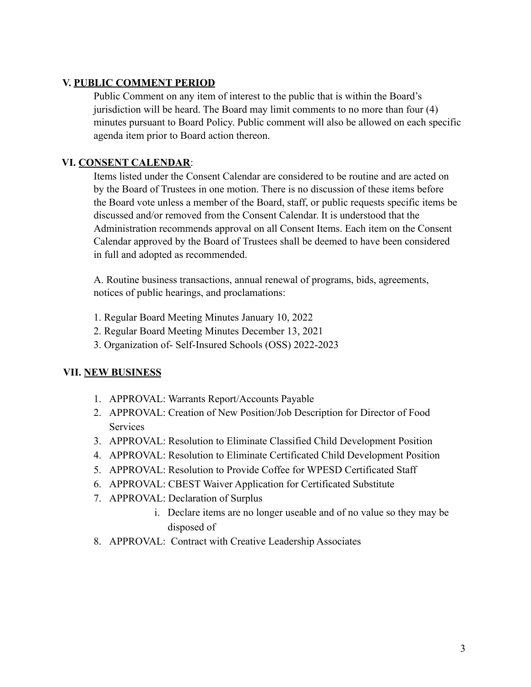### **V. PUBLIC COMMENT PERIOD**

Public Comment on any item of interest to the public that is within the Board's jurisdiction will be heard. The Board may limit comments to no more than four (4) minutes pursuant to Board Policy. Public comment will also be allowed on each specific agenda item prior to Board action thereon.

### **VI. CONSENT CALENDAR**:

Items listed under the Consent Calendar are considered to be routine and are acted on by the Board of Trustees in one motion. There is no discussion of these items before the Board vote unless a member of the Board, staff, or public requests specific items be discussed and/or removed from the Consent Calendar. It is understood that the Administration recommends approval on all Consent Items. Each item on the Consent Calendar approved by the Board of Trustees shall be deemed to have been considered in full and adopted as recommended.

A. Routine business transactions, annual renewal of programs, bids, agreements, notices of public hearings, and proclamations:

- 1. Regular Board Meeting Minutes January 10, 2022
- 2. Regular Board Meeting Minutes December 13, 2021
- 3. Organization of- Self-Insured Schools (OSS) 2022-2023

#### **VII. NEW BUSINESS**

- 1. APPROVAL: Warrants Report/Accounts Payable
- 2. APPROVAL: Creation of New Position/Job Description for Director of Food **Services**
- 3. APPROVAL: Resolution to Eliminate Classified Child Development Position
- 4. APPROVAL: Resolution to Eliminate Certificated Child Development Position
- 5. APPROVAL: Resolution to Provide Coffee for WPESD Certificated Staff
- 6. APPROVAL: CBEST Waiver Application for Certificated Substitute
- 7. APPROVAL: Declaration of Surplus
	- i. Declare items are no longer useable and of no value so they may be disposed of
- 8. APPROVAL: Contract with Creative Leadership Associates